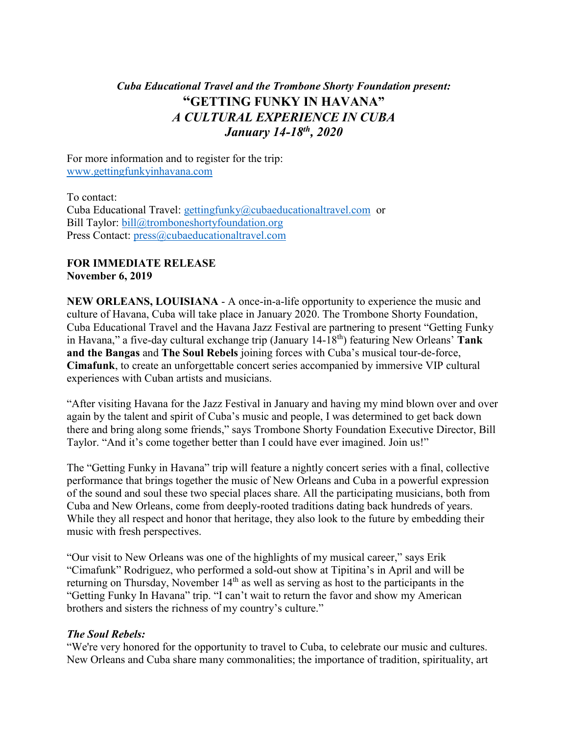## *Cuba Educational Travel and the Trombone Shorty Foundation present:* **"GETTING FUNKY IN HAVANA"** *A CULTURAL EXPERIENCE IN CUBA January 14-18th, 2020*

For more information and to register for the trip: [www.gettingfunkyinhavana.com](http://www.gettingfunkyinhavana.com/)

To contact: Cuba Educational Travel: [gettingfunky@cubaeducationaltravel.com](mailto:gettingfunky@cubaeducationaltravel.com) or Bill Taylor: [bill@tromboneshortyfoundation.org](mailto:bill@tromboneshortyfoundation.org) Press Contact: [press@cubaeducationaltravel.com](mailto:press@cubaeducationaltravel.com)

## **FOR IMMEDIATE RELEASE November 6, 2019**

**NEW ORLEANS, LOUISIANA** - A once-in-a-life opportunity to experience the music and culture of Havana, Cuba will take place in January 2020. The Trombone Shorty Foundation, Cuba Educational Travel and the Havana Jazz Festival are partnering to present "Getting Funky in Havana," a five-day cultural exchange trip (January 14-18<sup>th</sup>) featuring New Orleans' Tank **and the Bangas** and **The Soul Rebels** joining forces with Cuba's musical tour-de-force, **Cimafunk**, to create an unforgettable concert series accompanied by immersive VIP cultural experiences with Cuban artists and musicians.

"After visiting Havana for the Jazz Festival in January and having my mind blown over and over again by the talent and spirit of Cuba's music and people, I was determined to get back down there and bring along some friends," says Trombone Shorty Foundation Executive Director, Bill Taylor. "And it's come together better than I could have ever imagined. Join us!"

The "Getting Funky in Havana" trip will feature a nightly concert series with a final, collective performance that brings together the music of New Orleans and Cuba in a powerful expression of the sound and soul these two special places share. All the participating musicians, both from Cuba and New Orleans, come from deeply-rooted traditions dating back hundreds of years. While they all respect and honor that heritage, they also look to the future by embedding their music with fresh perspectives.

"Our visit to New Orleans was one of the highlights of my musical career," says Erik "Cimafunk" Rodriguez, who performed a sold-out show at Tipitina's in April and will be returning on Thursday, November  $14<sup>th</sup>$  as well as serving as host to the participants in the "Getting Funky In Havana" trip. "I can't wait to return the favor and show my American brothers and sisters the richness of my country's culture."

## *The Soul Rebels:*

"We're very honored for the opportunity to travel to Cuba, to celebrate our music and cultures. New Orleans and Cuba share many commonalities; the importance of tradition, spirituality, art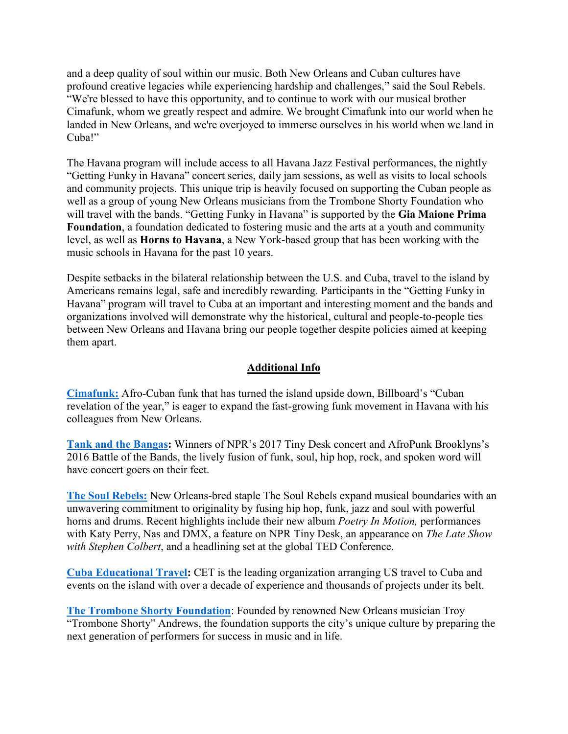and a deep quality of soul within our music. Both New Orleans and Cuban cultures have profound creative legacies while experiencing hardship and challenges," said the Soul Rebels. "We're blessed to have this opportunity, and to continue to work with our musical brother Cimafunk, whom we greatly respect and admire. We brought Cimafunk into our world when he landed in New Orleans, and we're overjoyed to immerse ourselves in his world when we land in Cuba!"

The Havana program will include access to all Havana Jazz Festival performances, the nightly "Getting Funky in Havana" concert series, daily jam sessions, as well as visits to local schools and community projects. This unique trip is heavily focused on supporting the Cuban people as well as a group of young New Orleans musicians from the Trombone Shorty Foundation who will travel with the bands. "Getting Funky in Havana" is supported by the **[Gia Maione Prima](https://www.giamaioneprimafoundation.com/)  [Foundation](https://www.giamaioneprimafoundation.com/)**, a foundation dedicated to fostering music and the arts at a youth and community level, as well as **Horns to Havana**, a New York-based group that has been working with the music schools in Havana for the past 10 years.

Despite setbacks in the bilateral relationship between the U.S. and Cuba, travel to the island by Americans remains legal, safe and incredibly rewarding. Participants in the "Getting Funky in Havana" program will travel to Cuba at an important and interesting moment and the bands and organizations involved will demonstrate why the historical, cultural and people-to-people ties between New Orleans and Havana bring our people together despite policies aimed at keeping them apart.

## **Additional Info**

**[Cimafunk:](https://www.cimafunk.com/)** Afro-Cuban funk that has turned the island upside down, Billboard's "Cuban revelation of the year," is eager to expand the fast-growing funk movement in Havana with his colleagues from New Orleans.

**[Tank and the Bangas:](http://www.tankandthebangas.com/)** Winners of NPR's 2017 Tiny Desk concert and AfroPunk Brooklyns's 2016 Battle of the Bands, the lively fusion of [funk,](https://en.wikipedia.org/wiki/Funk) [soul,](https://en.wikipedia.org/wiki/Soul_music) [hip hop,](https://en.wikipedia.org/wiki/Hip_hop_music) [rock,](https://en.wikipedia.org/wiki/Rock_music) and [spoken word](https://en.wikipedia.org/wiki/Spoken_word) will have concert goers on their feet.

**[The Soul Rebels:](https://thesoulrebels.com/)** New Orleans-bred staple The Soul Rebels expand musical boundaries with an unwavering commitment to originality by fusing hip hop, funk, jazz and soul with powerful horns and drums. Recent highlights include their new album *Poetry In Motion,* performances with Katy Perry, Nas and DMX, a feature on NPR Tiny Desk, an appearance on *The Late Show with Stephen Colbert*, and a headlining set at the global TED Conference.

**[Cuba Educational Travel:](http://www.cubaeducationaltravel.com/)** CET is the leading organization arranging US travel to Cuba and events on the island with over a decade of experience and thousands of projects under its belt.

**[The Trombone Shorty Foundation](https://www.tromboneshortyfoundation.org/)**: Founded by renowned New Orleans musician Troy "Trombone Shorty" Andrews, the foundation supports the city's unique culture by preparing the next generation of performers for success in music and in life.